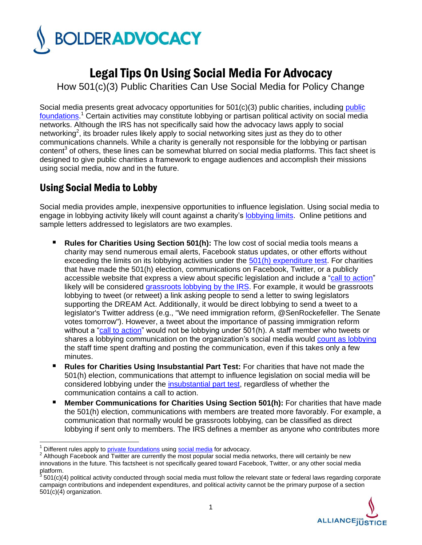

# LegalTips On Using Social Media For Advocacy

How 501(c)(3) Public Charities Can Use Social Media for Policy Change

Social media presents great advocacy opportunities for 501(c)(3) [public](http://bolderadvocacy.org/wp-content/uploads/2012/06/Public_Foundations_Can_Lobby.pdf) charities, including public [foundations.](http://bolderadvocacy.org/wp-content/uploads/2012/06/Public_Foundations_Can_Lobby.pdf) <sup>1</sup> Certain activities may constitute lobbying or partisan political activity on social media networks. Although the IRS has not specifically said how the advocacy laws apply to social networking<sup>2</sup>, its broader rules likely apply to social networking sites just as they do to other communications channels. While a charity is generally not responsible for the lobbying or partisan content<sup>3</sup> of others, these lines can be somewhat blurred on social media platforms. This fact sheet is designed to give public charities a framework to engage audiences and accomplish their missions using social media, now and in the future.

## Using Social Media to Lobby

Social media provides ample, inexpensive opportunities to influence legislation. Using social media to engage in lobbying activity likely will count against a charity"s [lobbying limits](http://bolderadvocacy.org/wp-content/uploads/2012/06/Public_Charities_Can_Lobby.pdf). Online petitions and sample letters addressed to legislators are two examples.

- **Rules for Charities Using Section 501(h):** The low cost of social media tools means a charity may send numerous email alerts, Facebook status updates, or other efforts without exceeding the limits on its lobbying activities under the  $501(h)$  expenditure test. For charities that have made the 501(h) election, communications on Facebook, Twitter, or a publicly accessible website that express a view about specific legislation and include a ["call to action"](http://bolderadvocacy.org/wp-content/uploads/2012/05/What_is_lobbying.pdf) likely will be considered [grassroots lobbying](http://bolderadvocacy.org/wp-content/uploads/2012/05/What_is_lobbying.pdf) by the IRS. For example, it would be grassroots lobbying to tweet (or retweet) a link asking people to send a letter to swing legislators supporting the DREAM Act. Additionally, it would be direct lobbying to send a tweet to a legislator's Twitter address (e.g., "We need immigration reform, @SenRockefeller. The Senate votes tomorrow"). However, a tweet about the importance of passing immigration reform without a ["call to action"](http://bolderadvocacy.org/wp-content/uploads/2012/05/What_is_lobbying.pdf) would not be lobbying under 501(h). A staff member who tweets or shares a lobbying communication on the organization"s social media would [count as lobbying](http://bolderadvocacy.org/wp-content/uploads/2012/10/Keeping_Track_paywall.pdf) the staff time spent drafting and posting the communication, even if this takes only a few minutes.
- **Rules for Charities Using Insubstantial Part Test:** For charities that have not made the 501(h) election, communications that attempt to influence legislation on social media will be considered lobbying under the [insubstantial part test,](http://bolderadvocacy.org/wp-content/uploads/2012/11/Lobbying_under_the_insubstantial_part_test.pdf) regardless of whether the communication contains a call to action.
- **Member Communications for Charities Using Section 501(h):** For charities that have made the 501(h) election, communications with members are treated more favorably. For example, a communication that normally would be grassroots lobbying, can be classified as direct lobbying if sent only to members. The IRS defines a member as anyone who contributes more

 $\overline{\phantom{a}}$ 

<sup>501(</sup>c)(4) political activity conducted through social media must follow the relevant state or federal laws regarding corporate campaign contributions and independent expenditures, and political activity cannot be the primary purpose of a section 501(c)(4) organization.



Different rules apply to [private foundations](http://bolderadvocacy.org/wp-content/uploads/2012/05/Private_Foundations_May_Advocate.pdf) using [social media](http://bolderadvocacy.org/wp-content/uploads/2013/01/Private_Foundations_and_Social_Media.pdf) for advocacy.

<sup>&</sup>lt;sup>2</sup> Although Facebook and Twitter are currently the most popular social media networks, there will certainly be new innovations in the future. This factsheet is not specifically geared toward Facebook, Twitter, or any other social media platform.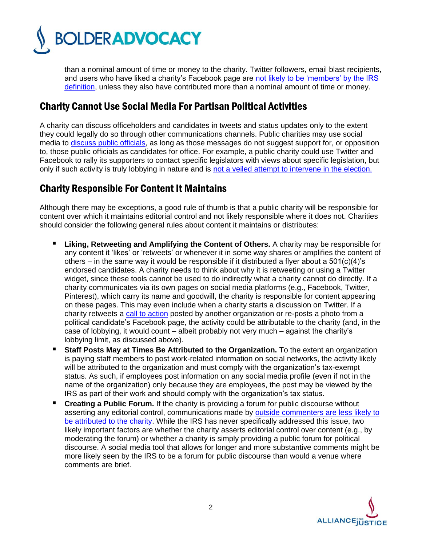

than a nominal amount of time or money to the charity. Twitter followers, email blast recipients, and users who have liked a charity's Facebook page are not likely to be 'members' by the IRS [definition,](http://bolderadvocacy.org/wp-content/uploads/2012/10/Influencing_Public_Policy_in_the_Digital_Age_paywall.pdf) unless they also have contributed more than a nominal amount of time or money.

#### Charity Cannot Use Social Media For Partisan Political Activities

A charity can discuss officeholders and candidates in tweets and status updates only to the extent they could legally do so through other communications channels. Public charities may use social media to [discuss public officials,](http://bolderadvocacy.org/wp-content/uploads/2012/05/Praising_And_Criticizing_Incumbents.pdf) as long as those messages do not suggest support for, or opposition to, those public officials as candidates for office. For example, a public charity could use Twitter and Facebook to rally its supporters to contact specific legislators with views about specific legislation, but only if such activity is truly lobbying in nature and is [not a veiled attempt to intervene in the election.](http://bolderadvocacy.org/wp-content/uploads/2012/05/Praising_And_Criticizing_Incumbents.pdf) 

### Charity Responsible For Content It Maintains

Although there may be exceptions, a good rule of thumb is that a public charity will be responsible for content over which it maintains editorial control and not likely responsible where it does not. Charities should consider the following general rules about content it maintains or distributes:

- **Liking, Retweeting and Amplifying the Content of Others.** A charity may be responsible for any content it "likes" or "retweets" or whenever it in some way shares or amplifies the content of others – in the same way it would be responsible if it distributed a flyer about a  $501(c)(4)$ 's endorsed candidates. A charity needs to think about why it is retweeting or using a Twitter widget, since these tools cannot be used to do indirectly what a charity cannot do directly. If a charity communicates via its own pages on social media platforms (e.g., Facebook, Twitter, Pinterest), which carry its name and goodwill, the charity is responsible for content appearing on these pages. This may even include when a charity starts a discussion on Twitter. If a charity retweets a [call to action](http://bolderadvocacy.org/wp-content/uploads/2012/05/What_is_lobbying.pdf) posted by another organization or re-posts a photo from a political candidate"s Facebook page, the activity could be attributable to the charity (and, in the case of lobbying, it would count – albeit probably not very much – against the charity"s lobbying limit, as discussed above).
- **Staff Posts May at Times Be Attributed to the Organization.** To the extent an organization is paying staff members to post work-related information on social networks, the activity likely will be attributed to the organization and must comply with the organization's tax-exempt status. As such, if employees post information on any social media profile (even if not in the name of the organization) only because they are employees, the post may be viewed by the IRS as part of their work and should comply with the organization"s tax status.
- **Creating a Public Forum.** If the charity is providing a forum for public discourse without asserting any editorial control, communications made by [outside commenters are less likely to](http://bolderadvocacy.org/wp-content/uploads/2012/10/Influencing_Public_Policy_in_the_Digital_Age_paywall.pdf)  [be attributed to the charity.](http://bolderadvocacy.org/wp-content/uploads/2012/10/Influencing_Public_Policy_in_the_Digital_Age_paywall.pdf) While the IRS has never specifically addressed this issue, two likely important factors are whether the charity asserts editorial control over content (e.g., by moderating the forum) or whether a charity is simply providing a public forum for political discourse. A social media tool that allows for longer and more substantive comments might be more likely seen by the IRS to be a forum for public discourse than would a venue where comments are brief.

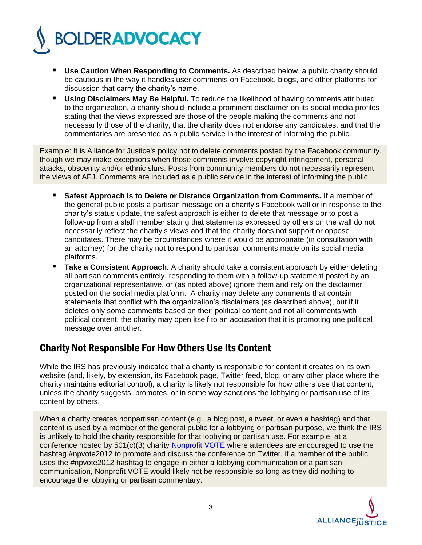

- **Use Caution When Responding to Comments.** As described below, a public charity should be cautious in the way it handles user comments on Facebook, blogs, and other platforms for discussion that carry the charity"s name.
- **Using Disclaimers May Be Helpful.** To reduce the likelihood of having comments attributed to the organization, a charity should include a prominent disclaimer on its social media profiles stating that the views expressed are those of the people making the comments and not necessarily those of the charity, that the charity does not endorse any candidates, and that the commentaries are presented as a public service in the interest of informing the public.

Example: It is Alliance for Justice's policy not to delete comments posted by the Facebook community, though we may make exceptions when those comments involve copyright infringement, personal attacks, obscenity and/or ethnic slurs. Posts from community members do not necessarily represent the views of AFJ. Comments are included as a public service in the interest of informing the public.

- **Safest Approach is to Delete or Distance Organization from Comments.** If a member of the general public posts a partisan message on a charity"s Facebook wall or in response to the charity"s status update, the safest approach is either to delete that message or to post a follow-up from a staff member stating that statements expressed by others on the wall do not necessarily reflect the charity"s views and that the charity does not support or oppose candidates. There may be circumstances where it would be appropriate (in consultation with an attorney) for the charity not to respond to partisan comments made on its social media platforms.
- **Take a Consistent Approach.** A charity should take a consistent approach by either deleting all partisan comments entirely, responding to them with a follow-up statement posted by an organizational representative, or (as noted above) ignore them and rely on the disclaimer posted on the social media platform. A charity may delete any comments that contain statements that conflict with the organization"s disclaimers (as described above), but if it deletes only some comments based on their political content and not all comments with political content, the charity may open itself to an accusation that it is promoting one political message over another.

#### Charity Not Responsible For How Others Use Its Content

While the IRS has previously indicated that a charity is responsible for content it creates on its own website (and, likely, by extension, its Facebook page, Twitter feed, blog, or any other place where the charity maintains editorial control), a charity is likely not responsible for how others use that content, unless the charity suggests, promotes, or in some way sanctions the lobbying or partisan use of its content by others.

When a charity creates nonpartisan content (e.g., a blog post, a tweet, or even a hashtag) and that content is used by a member of the general public for a lobbying or partisan purpose, we think the IRS is unlikely to hold the charity responsible for that lobbying or partisan use. For example, at a conference hosted by 501(c)(3) charity [Nonprofit VOTE](http://www.nonprofitvote.org/) where attendees are encouraged to use the hashtag #npvote2012 to promote and discuss the conference on Twitter, if a member of the public uses the #npvote2012 hashtag to engage in either a lobbying communication or a partisan communication, Nonprofit VOTE would likely not be responsible so long as they did nothing to encourage the lobbying or partisan commentary.